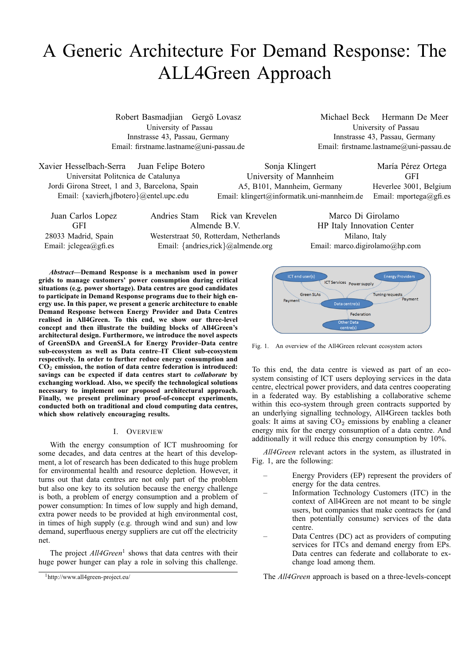# A Generic Architecture For Demand Response: The ALL4Green Approach

Robert Basmadjian Gergö Lovasz University of Passau Innstrasse 43, Passau, Germany Email: firstname.lastname@uni-passau.de

Michael Beck Hermann De Meer University of Passau Innstrasse 43, Passau, Germany Email: firstname.lastname@uni-passau.de

Xavier Hesselbach-Serra Juan Felipe Botero Universitat Politcnica de Catalunya Jordi Girona Street, 1 and 3, Barcelona, Spain Email: {xavierh,jfbotero}@entel.upc.edu

Sonja Klingert University of Mannheim A5, B101, Mannheim, Germany Email: klingert@informatik.uni-mannheim.de María Pérez Ortega

GFI Heverlee 3001, Belgium Email: mportega@gfi.es

Juan Carlos Lopez GFI 28033 Madrid, Spain Email: jclegea@gfi.es

Andries Stam Rick van Krevelen Almende B.V. Westerstraat 50, Rotterdam, Netherlands Email: {andries,rick}@almende.org

Marco Di Girolamo HP Italy Innovation Center Milano, Italy Email: marco.digirolamo@hp.com

*Abstract***—Demand Response is a mechanism used in power grids to manage customers' power consumption during critical situations (e.g. power shortage). Data centres are good candidates to participate in Demand Response programs due to their high energy use. In this paper, we present a generic architecture to enable Demand Response between Energy Provider and Data Centres realised in All4Green. To this end, we show our three-level concept and then illustrate the building blocks of All4Green's architectural design. Furthermore, we introduce the novel aspects of GreenSDA and GreenSLA for Energy Provider–Data centre sub-ecosystem as well as Data centre–IT Client sub-ecosystem respectively. In order to further reduce energy consumption and CO**<sup>2</sup> **emission, the notion of data centre federation is introduced: savings can be expected if data centres start to** *collaborate* **by exchanging workload. Also, we specify the technological solutions necessary to implement our proposed architectural approach. Finally, we present preliminary proof-of-concept experiments, conducted both on traditional and cloud computing data centres, which show relatively encouraging results.**

## I. OVERVIEW

With the energy consumption of ICT mushrooming for some decades, and data centres at the heart of this development, a lot of research has been dedicated to this huge problem for environmental health and resource depletion. However, it turns out that data centres are not only part of the problem but also one key to its solution because the energy challenge is both, a problem of energy consumption and a problem of power consumption: In times of low supply and high demand, extra power needs to be provided at high environmental cost, in times of high supply (e.g. through wind and sun) and low demand, superfluous energy suppliers are cut off the electricity net.

The project *All4Green*<sup>1</sup> shows that data centres with their huge power hunger can play a role in solving this challenge.



Fig. 1. An overview of the All4Green relevant ecosystem actors

To this end, the data centre is viewed as part of an ecosystem consisting of ICT users deploying services in the data centre, electrical power providers, and data centres cooperating in a federated way. By establishing a collaborative scheme within this eco-system through green contracts supported by an underlying signalling technology, All4Green tackles both goals: It aims at saving  $CO<sub>2</sub>$  emissions by enabling a cleaner energy mix for the energy consumption of a data centre. And additionally it will reduce this energy consumption by 10%.

*All4Green* relevant actors in the system, as illustrated in Fig. 1, are the following:

- Energy Providers (EP) represent the providers of energy for the data centres.
- Information Technology Customers (ITC) in the context of All4Green are not meant to be single users, but companies that make contracts for (and then potentially consume) services of the data centre.
- Data Centres (DC) act as providers of computing services for ITCs and demand energy from EPs. Data centres can federate and collaborate to exchange load among them.

The *All4Green* approach is based on a three-levels-concept

<sup>1</sup>http://www.all4green-project.eu/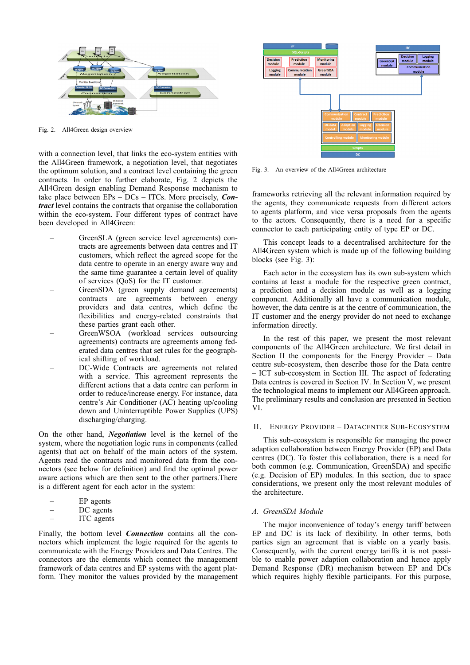

Fig. 2. All4Green design overview

with a connection level, that links the eco-system entities with the All4Green framework, a negotiation level, that negotiates the optimum solution, and a contract level containing the green contracts. In order to further elaborate, Fig. 2 depicts the All4Green design enabling Demand Response mechanism to take place between EPs – DCs – ITCs. More precisely, *Contract* level contains the contracts that organise the collaboration within the eco-system. Four different types of contract have been developed in All4Green:

- GreenSLA (green service level agreements) contracts are agreements between data centres and IT customers, which reflect the agreed scope for the data centre to operate in an energy aware way and the same time guarantee a certain level of quality of services (QoS) for the IT customer.
- GreenSDA (green supply demand agreements) contracts are agreements between energy providers and data centres, which define the flexibilities and energy-related constraints that these parties grant each other.
- GreenWSOA (workload services outsourcing agreements) contracts are agreements among federated data centres that set rules for the geographical shifting of workload.
- DC-Wide Contracts are agreements not related with a service. This agreement represents the different actions that a data centre can perform in order to reduce/increase energy. For instance, data centre's Air Conditioner (AC) heating up/cooling down and Uninterruptible Power Supplies (UPS) discharging/charging.

On the other hand, *Negotiation* level is the kernel of the system, where the negotiation logic runs in components (called agents) that act on behalf of the main actors of the system. Agents read the contracts and monitored data from the connectors (see below for definition) and find the optimal power aware actions which are then sent to the other partners.There is a different agent for each actor in the system:

- EP agents
- DC agents
- ITC agents

Finally, the bottom level *Connection* contains all the connectors which implement the logic required for the agents to communicate with the Energy Providers and Data Centres. The connectors are the elements which connect the management framework of data centres and EP systems with the agent platform. They monitor the values provided by the management



Fig. 3. An overview of the All4Green architecture

frameworks retrieving all the relevant information required by the agents, they communicate requests from different actors to agents platform, and vice versa proposals from the agents to the actors. Consequently, there is a need for a specific connector to each participating entity of type EP or DC.

This concept leads to a decentralised architecture for the All4Green system which is made up of the following building blocks (see Fig. 3):

Each actor in the ecosystem has its own sub-system which contains at least a module for the respective green contract, a prediction and a decision module as well as a logging component. Additionally all have a communication module, however, the data centre is at the centre of communication, the IT customer and the energy provider do not need to exchange information directly.

In the rest of this paper, we present the most relevant components of the All4Green architecture. We first detail in Section II the components for the Energy Provider – Data centre sub-ecosystem, then describe those for the Data centre – ICT sub-ecosystem in Section III. The aspect of federating Data centres is covered in Section IV. In Section V, we present the technological means to implement our All4Green approach. The preliminary results and conclusion are presented in Section VI.

#### II. ENERGY PROVIDER – DATACENTER SUB-ECOSYSTEM

This sub-ecosystem is responsible for managing the power adaption collaboration between Energy Provider (EP) and Data centres (DC). To foster this collaboration, there is a need for both common (e.g. Communication, GreenSDA) and specific (e.g. Decision of EP) modules. In this section, due to space considerations, we present only the most relevant modules of the architecture.

#### *A. GreenSDA Module*

The major inconvenience of today's energy tariff between EP and DC is its lack of flexibility. In other terms, both parties sign an agreement that is viable on a yearly basis. Consequently, with the current energy tariffs it is not possible to enable power adaption collaboration and hence apply Demand Response (DR) mechanism between EP and DCs which requires highly flexible participants. For this purpose,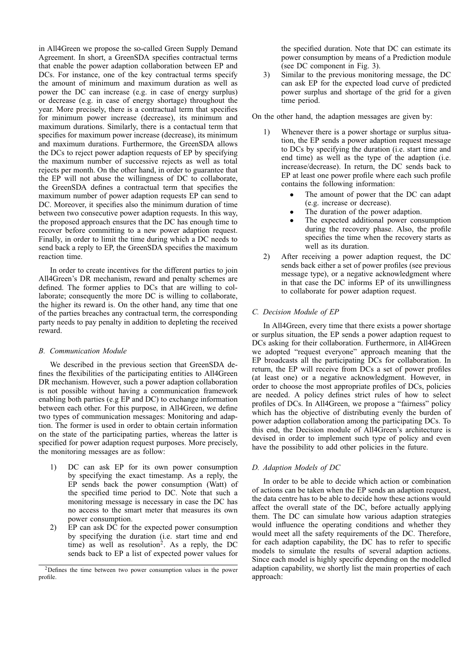in All4Green we propose the so-called Green Supply Demand Agreement. In short, a GreenSDA specifies contractual terms that enable the power adaption collaboration between EP and DCs. For instance, one of the key contractual terms specify the amount of minimum and maximum duration as well as power the DC can increase (e.g. in case of energy surplus) or decrease (e.g. in case of energy shortage) throughout the year. More precisely, there is a contractual term that specifies for minimum power increase (decrease), its minimum and maximum durations. Similarly, there is a contactual term that specifies for maximum power increase (decrease), its minimum and maximum durations. Furthermore, the GreenSDA allows the DCs to reject power adaption requests of EP by specifying the maximum number of successive rejects as well as total rejects per month. On the other hand, in order to guarantee that the EP will not abuse the willingness of DC to collaborate, the GreenSDA defines a contractual term that specifies the maximum number of power adaption requests EP can send to DC. Moreover, it specifies also the minimum duration of time between two consecutive power adaption requests. In this way, the proposed approach ensures that the DC has enough time to recover before committing to a new power adaption request. Finally, in order to limit the time during which a DC needs to send back a reply to EP, the GreenSDA specifies the maximum reaction time.

In order to create incentives for the different parties to join All4Green's DR mechanism, reward and penalty schemes are defined. The former applies to DCs that are willing to collaborate; consequently the more DC is willing to collaborate, the higher its reward is. On the other hand, any time that one of the parties breaches any contractual term, the corresponding party needs to pay penalty in addition to depleting the received reward.

# *B. Communication Module*

We described in the previous section that GreenSDA defines the flexibilities of the participating entities to All4Green DR mechanism. However, such a power adaption collaboration is not possible without having a communication framework enabling both parties (e.g EP and DC) to exchange information between each other. For this purpose, in All4Green, we define two types of communication messages: Monitoring and adaption. The former is used in order to obtain certain information on the state of the participating parties, whereas the latter is specified for power adaption request purposes. More precisely, the monitoring messages are as follow:

- 1) DC can ask EP for its own power consumption by specifying the exact timestamp. As a reply, the EP sends back the power consumption (Watt) of the specified time period to DC. Note that such a monitoring message is necessary in case the DC has no access to the smart meter that measures its own power consumption.
- 2) EP can ask DC for the expected power consumption by specifying the duration (i.e. start time and end time) as well as resolution<sup>2</sup>. As a reply, the DC sends back to EP a list of expected power values for

the specified duration. Note that DC can estimate its power consumption by means of a Prediction module (see DC component in Fig. 3).

3) Similar to the previous monitoring message, the DC can ask EP for the expected load curve of predicted power surplus and shortage of the grid for a given time period.

On the other hand, the adaption messages are given by:

- 1) Whenever there is a power shortage or surplus situation, the EP sends a power adaption request message to DCs by specifying the duration (i.e. start time and end time) as well as the type of the adaption (i.e. increase/decrease). In return, the DC sends back to EP at least one power profile where each such profile contains the following information:
	- The amount of power that the DC can adapt (e.g. increase or decrease).
	- The duration of the power adaption.
	- The expected additional power consumption during the recovery phase. Also, the profile specifies the time when the recovery starts as well as its duration.
- 2) After receiving a power adaption request, the DC sends back either a set of power profiles (see previous message type), or a negative acknowledgment where in that case the DC informs EP of its unwillingness to collaborate for power adaption request.

## *C. Decision Module of EP*

In All4Green, every time that there exists a power shortage or surplus situation, the EP sends a power adaption request to DCs asking for their collaboration. Furthermore, in All4Green we adopted "request everyone" approach meaning that the EP broadcasts all the participating DCs for collaboration. In return, the EP will receive from DCs a set of power profiles (at least one) or a negative acknowledgment. However, in order to choose the most appropriate profiles of DCs, policies are needed. A policy defines strict rules of how to select profiles of DCs. In All4Green, we propose a "fairness" policy which has the objective of distributing evenly the burden of power adaption collaboration among the participating DCs. To this end, the Decision module of All4Green's architecture is devised in order to implement such type of policy and even have the possibility to add other policies in the future.

#### *D. Adaption Models of DC*

In order to be able to decide which action or combination of actions can be taken when the EP sends an adaption request, the data centre has to be able to decide how these actions would affect the overall state of the DC, before actually applying them. The DC can simulate how various adaption strategies would influence the operating conditions and whether they would meet all the safety requirements of the DC. Therefore, for each adaption capability, the DC has to refer to specific models to simulate the results of several adaption actions. Since each model is highly specific depending on the modelled adaption capability, we shortly list the main properties of each approach:

<sup>2</sup>Defines the time between two power consumption values in the power profile.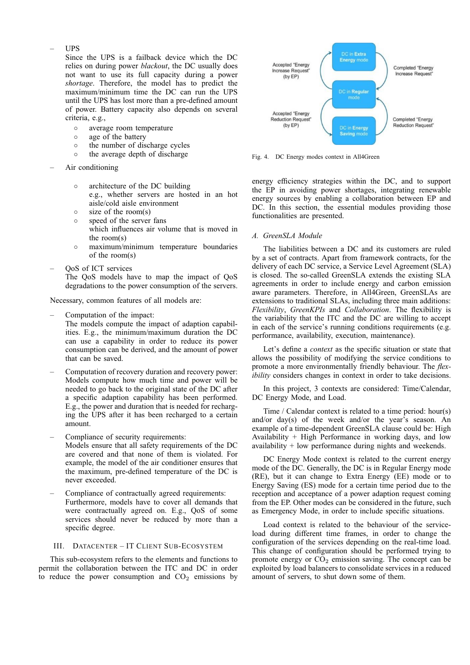## – UPS

Since the UPS is a failback device which the DC relies on during power *blackout*, the DC usually does not want to use its full capacity during a power *shortage*. Therefore, the model has to predict the maximum/minimum time the DC can run the UPS until the UPS has lost more than a pre-defined amount of power. Battery capacity also depends on several criteria, e.g.,

- average room temperature
- age of the battery
- the number of discharge cycles
- the average depth of discharge
- Air conditioning
	- architecture of the DC building e.g., whether servers are hosted in an hot aisle/cold aisle environment
	- $\circ$  size of the room(s)<br> $\circ$  speed of the server
	- speed of the server fans which influences air volume that is moved in the room(s)
	- maximum/minimum temperature boundaries of the room(s)
- QoS of ICT services The QoS models have to map the impact of QoS degradations to the power consumption of the servers.

Necessary, common features of all models are:

– Computation of the impact:

The models compute the impact of adaption capabilities. E.g., the minimum/maximum duration the DC can use a capability in order to reduce its power consumption can be derived, and the amount of power that can be saved.

- Computation of recovery duration and recovery power: Models compute how much time and power will be needed to go back to the original state of the DC after a specific adaption capability has been performed. E.g., the power and duration that is needed for recharging the UPS after it has been recharged to a certain amount.
- Compliance of security requirements: Models ensure that all safety requirements of the DC are covered and that none of them is violated. For example, the model of the air conditioner ensures that the maximum, pre-defined temperature of the DC is never exceeded.
- Compliance of contractually agreed requirements: Furthermore, models have to cover all demands that were contractually agreed on. E.g., QoS of some services should never be reduced by more than a specific degree.

## III. DATACENTER – IT CLIENT SUB-ECOSYSTEM

This sub-ecosystem refers to the elements and functions to permit the collaboration between the ITC and DC in order to reduce the power consumption and  $CO<sub>2</sub>$  emissions by



Fig. 4. DC Energy modes context in All4Green

energy efficiency strategies within the DC, and to support the EP in avoiding power shortages, integrating renewable energy sources by enabling a collaboration between EP and DC. In this section, the essential modules providing those functionalities are presented.

## *A. GreenSLA Module*

The liabilities between a DC and its customers are ruled by a set of contracts. Apart from framework contracts, for the delivery of each DC service, a Service Level Agreement (SLA) is closed. The so-called GreenSLA extends the existing SLA agreements in order to include energy and carbon emission aware parameters. Therefore, in All4Green, GreenSLAs are extensions to traditional SLAs, including three main additions: *Flexibility*, *GreenKPIs* and *Collaboration*. The flexibility is the variability that the ITC and the DC are willing to accept in each of the service's running conditions requirements (e.g. performance, availability, execution, maintenance).

Let's define a *context* as the specific situation or state that allows the possibility of modifying the service conditions to promote a more environmentally friendly behaviour. The *flexibility* considers changes in context in order to take decisions.

In this project, 3 contexts are considered: Time/Calendar, DC Energy Mode, and Load.

Time / Calendar context is related to a time period: hour(s) and/or day(s) of the week and/or the year's season. An example of a time-dependent GreenSLA clause could be: High Availability + High Performance in working days, and low availability + low performance during nights and weekends.

DC Energy Mode context is related to the current energy mode of the DC. Generally, the DC is in Regular Energy mode (RE), but it can change to Extra Energy (EE) mode or to Energy Saving (ES) mode for a certain time period due to the reception and acceptance of a power adaption request coming from the EP. Other modes can be considered in the future, such as Emergency Mode, in order to include specific situations.

Load context is related to the behaviour of the serviceload during different time frames, in order to change the configuration of the services depending on the real-time load. This change of configuration should be performed trying to promote energy or  $CO<sub>2</sub>$  emission saving. The concept can be exploited by load balancers to consolidate services in a reduced amount of servers, to shut down some of them.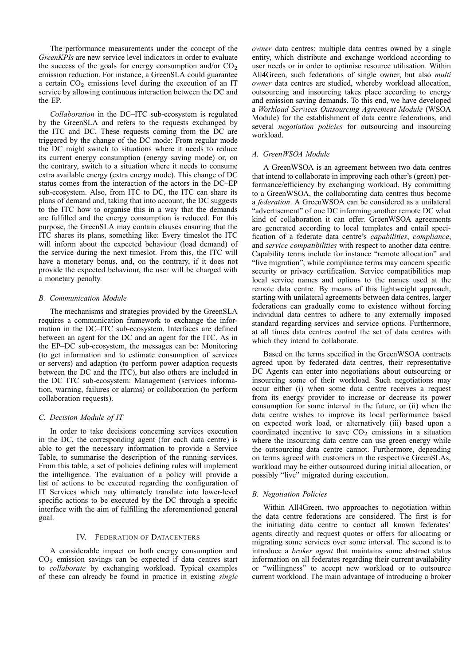The performance measurements under the concept of the *GreenKPIs* are new service level indicators in order to evaluate the success of the goals for energy consumption and/or  $CO<sub>2</sub>$ emission reduction. For instance, a GreenSLA could guarantee a certain  $CO<sub>2</sub>$  emissions level during the execution of an IT service by allowing continuous interaction between the DC and the EP.

*Collaboration* in the DC–ITC sub-ecosystem is regulated by the GreenSLA and refers to the requests exchanged by the ITC and DC. These requests coming from the DC are triggered by the change of the DC mode: From regular mode the DC might switch to situations where it needs to reduce its current energy consumption (energy saving mode) or, on the contrary, switch to a situation where it needs to consume extra available energy (extra energy mode). This change of DC status comes from the interaction of the actors in the DC–EP sub-ecosystem. Also, from ITC to DC, the ITC can share its plans of demand and, taking that into account, the DC suggests to the ITC how to organise this in a way that the demands are fulfilled and the energy consumption is reduced. For this purpose, the GreenSLA may contain clauses ensuring that the ITC shares its plans, something like: Every timeslot the ITC will inform about the expected behaviour (load demand) of the service during the next timeslot. From this, the ITC will have a monetary bonus, and, on the contrary, if it does not provide the expected behaviour, the user will be charged with a monetary penalty.

#### *B. Communication Module*

The mechanisms and strategies provided by the GreenSLA requires a communication framework to exchange the information in the DC–ITC sub-ecosystem. Interfaces are defined between an agent for the DC and an agent for the ITC. As in the EP–DC sub-ecosystem, the messages can be: Monitoring (to get information and to estimate consumption of services or servers) and adaption (to perform power adaption requests between the DC and the ITC), but also others are included in the DC–ITC sub-ecosystem: Management (services information, warning, failures or alarms) or collaboration (to perform collaboration requests).

# *C. Decision Module of IT*

In order to take decisions concerning services execution in the DC, the corresponding agent (for each data centre) is able to get the necessary information to provide a Service Table, to summarise the description of the running services. From this table, a set of policies defining rules will implement the intelligence. The evaluation of a policy will provide a list of actions to be executed regarding the configuration of IT Services which may ultimately translate into lower-level specific actions to be executed by the DC through a specific interface with the aim of fulfilling the aforementioned general goal.

## IV. FEDERATION OF DATACENTERS

A considerable impact on both energy consumption and  $CO<sub>2</sub>$  emission savings can be expected if data centres start to *collaborate* by exchanging workload. Typical examples of these can already be found in practice in existing *single* *owner* data centres: multiple data centres owned by a single entity, which distribute and exchange workload according to user needs or in order to optimise resource utilisation. Within All4Green, such federations of single owner, but also *multi owner* data centres are studied, whereby workload allocation, outsourcing and insourcing takes place according to energy and emission saving demands. To this end, we have developed a *Workload Services Outsourcing Agreement Module* (WSOA Module) for the establishment of data centre federations, and several *negotiation policies* for outsourcing and insourcing workload.

## *A. GreenWSOA Module*

A GreenWSOA is an agreement between two data centres that intend to collaborate in improving each other's (green) performance/efficiency by exchanging workload. By committing to a GreenWSOA, the collaborating data centres thus become a *federation*. A GreenWSOA can be considered as a unilateral "advertisement" of one DC informing another remote DC what kind of collaboration it can offer. GreenWSOA agreements are generated according to local templates and entail specification of a federate data centre's *capabilities*, *compliance*, and *service compatibilities* with respect to another data centre. Capability terms include for instance "remote allocation" and "live migration", while compliance terms may concern specific security or privacy certification. Service compatibilities map local service names and options to the names used at the remote data centre. By means of this lightweight approach, starting with unilateral agreements between data centres, larger federations can gradually come to existence without forcing individual data centres to adhere to any externally imposed standard regarding services and service options. Furthermore, at all times data centres control the set of data centres with which they intend to collaborate.

Based on the terms specified in the GreenWSOA contracts agreed upon by federated data centres, their representative DC Agents can enter into negotiations about outsourcing or insourcing some of their workload. Such negotiations may occur either (i) when some data centre receives a request from its energy provider to increase or decrease its power consumption for some interval in the future, or (ii) when the data centre wishes to improve its local performance based on expected work load, or alternatively (iii) based upon a coordinated incentive to save  $CO<sub>2</sub>$  emissions in a situation where the insourcing data centre can use green energy while the outsourcing data centre cannot. Furthermore, depending on terms agreed with customers in the respective GreenSLAs, workload may be either outsourced during initial allocation, or possibly "live" migrated during execution.

### *B. Negotiation Policies*

Within All4Green, two approaches to negotiation within the data centre federations are considered. The first is for the initiating data centre to contact all known federates' agents directly and request quotes or offers for allocating or migrating some services over some interval. The second is to introduce a *broker agent* that maintains some abstract status information on all federates regarding their current availability or "willingness" to accept new workload or to outsource current workload. The main advantage of introducing a broker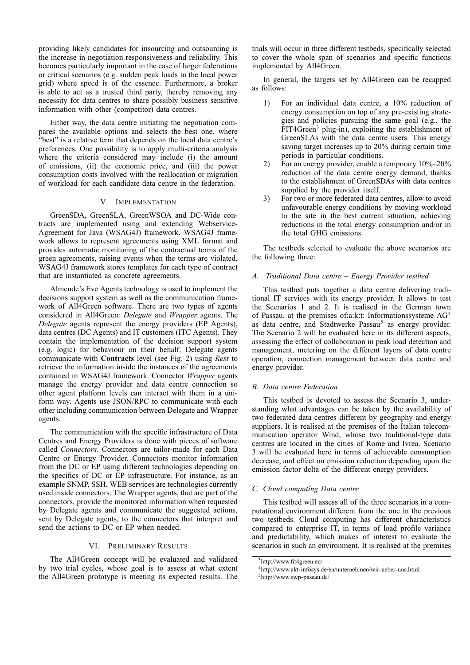providing likely candidates for insourcing and outsourcing is the increase in negotiation responsiveness and reliability. This becomes particularly important in the case of larger federations or critical scenarios (e.g. sudden peak loads in the local power grid) where speed is of the essence. Furthermore, a broker is able to act as a trusted third party, thereby removing any necessity for data centres to share possibly business sensitive information with other (competitor) data centres.

Either way, the data centre initiating the negotiation compares the available options and selects the best one, where "best" is a relative term that depends on the local data centre's preferences. One possibility is to apply multi-criteria analysis where the criteria considered may include (i) the amount of emissions, (ii) the economic price, and (iii) the power consumption costs involved with the reallocation or migration of workload for each candidate data centre in the federation.

## V. IMPLEMENTATION

GreenSDA, GreenSLA, GreenWSOA and DC-Wide contracts are implemented using and extending Webservice-Agreement for Java (WSAG4J) framework. WSAG4J framework allows to represent agreements using XML format and provides automatic monitoring of the contractual terms of the green agreements, raising events when the terms are violated. WSAG4J framework stores templates for each type of contract that are instantiated as concrete agreements.

Almende's Eve Agents technology is used to implement the decisions support system as well as the communication framework of All4Green software. There are two types of agents considered in All4Green: *Delegate* and *Wrapper* agents. The *Delegate* agents represent the energy providers (EP Agents), data centres (DC Agents) and IT customers (ITC Agents). They contain the implementation of the decision support system (e.g. logic) for behaviour on their behalf. Delegate agents communicate with **Contracts** level (see Fig. 2) using *Rest* to retrieve the information inside the instances of the agreements contained in WSAG4J framework. Connector *Wrapper* agents manage the energy provider and data centre connection so other agent platform levels can interact with them in a uniform way. Agents use JSON/RPC to communicate with each other including communication between Delegate and Wrapper agents.

The communication with the specific infrastructure of Data Centres and Energy Providers is done with pieces of software called *Connectors*. Connectors are tailor-made for each Data Centre or Energy Provider. Connectors monitor information from the DC or EP using different technologies depending on the specifics of DC or EP infrastructure. For instance, as an example SNMP, SSH, WEB services are technologies currently used inside connectors. The Wrapper agents, that are part of the connectors, provide the monitored information when requested by Delegate agents and communicate the suggested actions, sent by Delegate agents, to the connectors that interpret and send the actions to DC or EP when needed.

## VI. PRELIMINARY RESULTS

The All4Green concept will be evaluated and validated by two trial cycles, whose goal is to assess at what extent the All4Green prototype is meeting its expected results. The trials will occur in three different testbeds, specifically selected to cover the whole span of scenarios and specific functions implemented by All4Green.

In general, the targets set by All4Green can be recapped as follows:

- 1) For an individual data centre, a 10% reduction of energy consumption on top of any pre-existing strategies and policies pursuing the same goal (e.g., the FIT4Green<sup>3</sup> plug-in), exploiting the establishment of GreenSLAs with the data centre users. This energy saving target increases up to 20% during certain time periods in particular conditions.
- 2) For an energy provider, enable a temporary 10%–20% reduction of the data centre energy demand, thanks to the establishment of GreenSDAs with data centres supplied by the provider itself.
- 3) For two or more federated data centres, allow to avoid unfavourable energy conditions by moving workload to the site in the best current situation, achieving reductions in the total energy consumption and/or in the total GHG emissions.

The testbeds selected to evaluate the above scenarios are the following three:

## *A. Traditional Data centre – Energy Provider testbed*

This testbed puts together a data centre delivering traditional IT services with its energy provider. It allows to test the Scenarios 1 and 2. It is realised in the German town of Passau, at the premises of:a:k:t: Informationssysteme AG<sup>4</sup> as data centre, and Stadtwerke Passau<sup>5</sup> as energy provider. The Scenario 2 will be evaluated here in its different aspects, assessing the effect of collaboration in peak load detection and management, metering on the different layers of data centre operation, connection management between data centre and energy provider.

#### *B. Data centre Federation*

This testbed is devoted to assess the Scenario 3, understanding what advantages can be taken by the availability of two federated data centres different by geography and energy suppliers. It is realised at the premises of the Italian telecommunication operator Wind, whose two traditional-type data centres are located in the cities of Rome and Ivrea. Scenario 3 will be evaluated here in terms of achievable consumption decrease, and effect on emission reduction depending upon the emission factor delta of the different energy providers.

## *C. Cloud computing Data centre*

This testbed will assess all of the three scenarios in a computational environment different from the one in the previous two testbeds. Cloud computing has different characteristics compared to enterprise IT, in terms of load profile variance and predictability, which makes of interest to evaluate the scenarios in such an environment. It is realised at the premises

 $3$ http://www.fit4green.eu/

<sup>4</sup>http://www.akt-infosys.de/en/unternehmen/wir-ueber-uns.html

<sup>5</sup>http://www.swp-passau.de/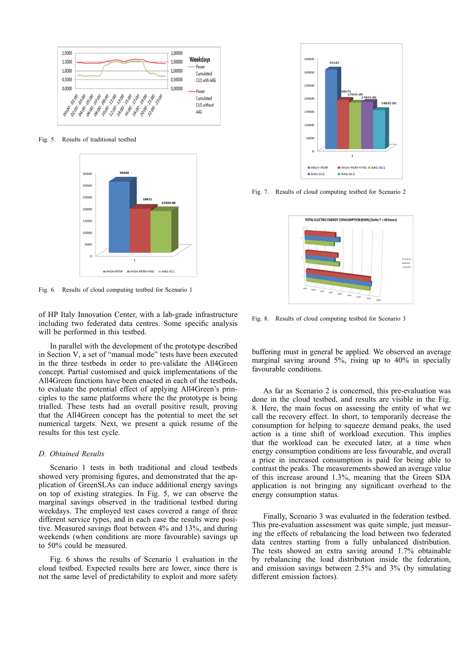

Fig. 5. Results of traditional testbed



Fig. 6. Results of cloud computing testbed for Scenario 1

of HP Italy Innovation Center, with a lab-grade infrastructure including two federated data centres. Some specific analysis will be performed in this testbed.

In parallel with the development of the prototype described in Section V, a set of "manual mode" tests have been executed in the three testbeds in order to pre-validate the All4Green concept. Partial customised and quick implementations of the All4Green functions have been enacted in each of the testbeds, to evaluate the potential effect of applying All4Green's principles to the same platforms where the the prototype is being trialled. These tests had an overall positive result, proving that the All4Green concept has the potential to meet the set numerical targets. Next, we present a quick resume of the results for this test cycle.

#### *D. Obtained Results*

Scenario 1 tests in both traditional and cloud testbeds showed very promising figures, and demonstrated that the application of GreenSLAs can induce additional energy savings on top of existing strategies. In Fig. 5, we can observe the marginal savings observed in the traditional testbed during weekdays. The employed test cases covered a range of three different service types, and in each case the results were positive. Measured savings float between 4% and 13%, and during weekends (when conditions are more favourable) savings up to 50% could be measured.

Fig. 6 shows the results of Scenario 1 evaluation in the cloud testbed. Expected results here are lower, since there is not the same level of predictability to exploit and more safety



Fig. 7. Results of cloud computing testbed for Scenario 2



Fig. 8. Results of cloud computing testbed for Scenario 3

buffering must in general be applied. We observed an average marginal saving around 5%, rising up to 40% in specially favourable conditions.

As far as Scenario 2 is concerned, this pre-evaluation was done in the cloud testbed, and results are visible in the Fig. 8. Here, the main focus on assessing the entity of what we call the recovery effect. In short, to temporarily decrease the consumption for helping to squeeze demand peaks, the used action is a time shift of workload execution. This implies that the workload can be executed later, at a time when energy consumption conditions are less favourable, and overall a price in increased consumption is paid for being able to contrast the peaks. The measurements showed an average value of this increase around 1.3%, meaning that the Green SDA application is not bringing any significant overhead to the energy consumption status.

Finally, Scenario 3 was evaluated in the federation testbed. This pre-evaluation assessment was quite simple, just measuring the effects of rebalancing the load between two federated data centres starting from a fully unbalanced distribution. The tests showed an extra saving around 1.7% obtainable by rebalancing the load distribution inside the federation, and emission savings between 2.5% and 3% (by simulating different emission factors).